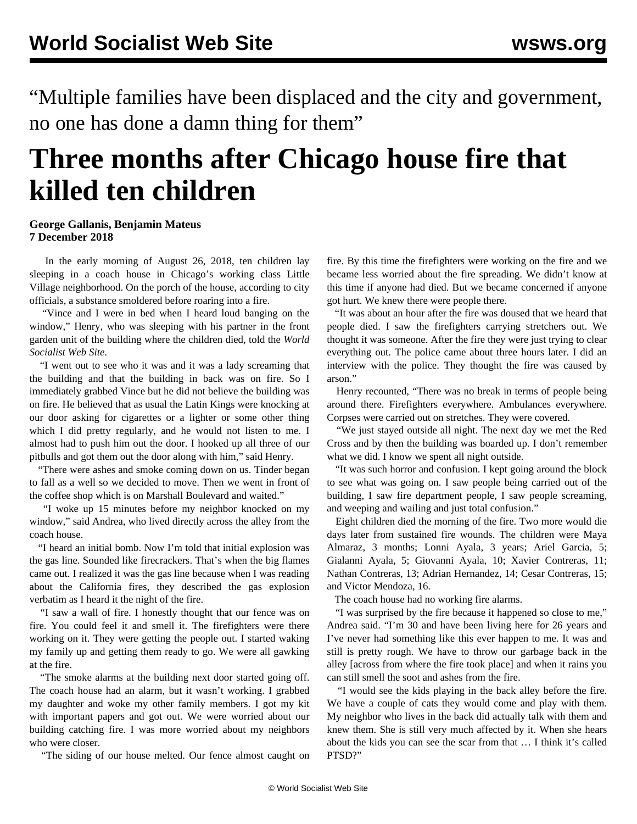"Multiple families have been displaced and the city and government, no one has done a damn thing for them"

## **Three months after Chicago house fire that killed ten children**

## **George Gallanis, Benjamin Mateus 7 December 2018**

 In the early morning of August 26, 2018, ten children lay sleeping in a coach house in Chicago's working class Little Village neighborhood. On the porch of the house, according to city officials, a substance smoldered before roaring into a fire.

 "Vince and I were in bed when I heard loud banging on the window," Henry, who was sleeping with his partner in the front garden unit of the building where the children died, told the *World Socialist Web Site*.

 "I went out to see who it was and it was a lady screaming that the building and that the building in back was on fire. So I immediately grabbed Vince but he did not believe the building was on fire. He believed that as usual the Latin Kings were knocking at our door asking for cigarettes or a lighter or some other thing which I did pretty regularly, and he would not listen to me. I almost had to push him out the door. I hooked up all three of our pitbulls and got them out the door along with him," said Henry.

 "There were ashes and smoke coming down on us. Tinder began to fall as a well so we decided to move. Then we went in front of the coffee shop which is on Marshall Boulevard and waited."

 "I woke up 15 minutes before my neighbor knocked on my window," said Andrea, who lived directly across the alley from the coach house.

 "I heard an initial bomb. Now I'm told that initial explosion was the gas line. Sounded like firecrackers. That's when the big flames came out. I realized it was the gas line because when I was reading about the California fires, they described the gas explosion verbatim as I heard it the night of the fire.

 "I saw a wall of fire. I honestly thought that our fence was on fire. You could feel it and smell it. The firefighters were there working on it. They were getting the people out. I started waking my family up and getting them ready to go. We were all gawking at the fire.

 "The smoke alarms at the building next door started going off. The coach house had an alarm, but it wasn't working. I grabbed my daughter and woke my other family members. I got my kit with important papers and got out. We were worried about our building catching fire. I was more worried about my neighbors who were closer.

"The siding of our house melted. Our fence almost caught on

fire. By this time the firefighters were working on the fire and we became less worried about the fire spreading. We didn't know at this time if anyone had died. But we became concerned if anyone got hurt. We knew there were people there.

 "It was about an hour after the fire was doused that we heard that people died. I saw the firefighters carrying stretchers out. We thought it was someone. After the fire they were just trying to clear everything out. The police came about three hours later. I did an interview with the police. They thought the fire was caused by arson."

 Henry recounted, "There was no break in terms of people being around there. Firefighters everywhere. Ambulances everywhere. Corpses were carried out on stretches. They were covered.

 "We just stayed outside all night. The next day we met the Red Cross and by then the building was boarded up. I don't remember what we did. I know we spent all night outside.

 "It was such horror and confusion. I kept going around the block to see what was going on. I saw people being carried out of the building, I saw fire department people, I saw people screaming, and weeping and wailing and just total confusion."

 Eight children died the morning of the fire. Two more would die days later from sustained fire wounds. The children were Maya Almaraz, 3 months; Lonni Ayala, 3 years; Ariel Garcia, 5; Gialanni Ayala, 5; Giovanni Ayala, 10; Xavier Contreras, 11; Nathan Contreras, 13; Adrian Hernandez, 14; Cesar Contreras, 15; and Victor Mendoza, 16.

The coach house had no working fire alarms.

 "I was surprised by the fire because it happened so close to me," Andrea said. "I'm 30 and have been living here for 26 years and I've never had something like this ever happen to me. It was and still is pretty rough. We have to throw our garbage back in the alley [across from where the fire took place] and when it rains you can still smell the soot and ashes from the fire.

 "I would see the kids playing in the back alley before the fire. We have a couple of cats they would come and play with them. My neighbor who lives in the back did actually talk with them and knew them. She is still very much affected by it. When she hears about the kids you can see the scar from that … I think it's called PTSD?"